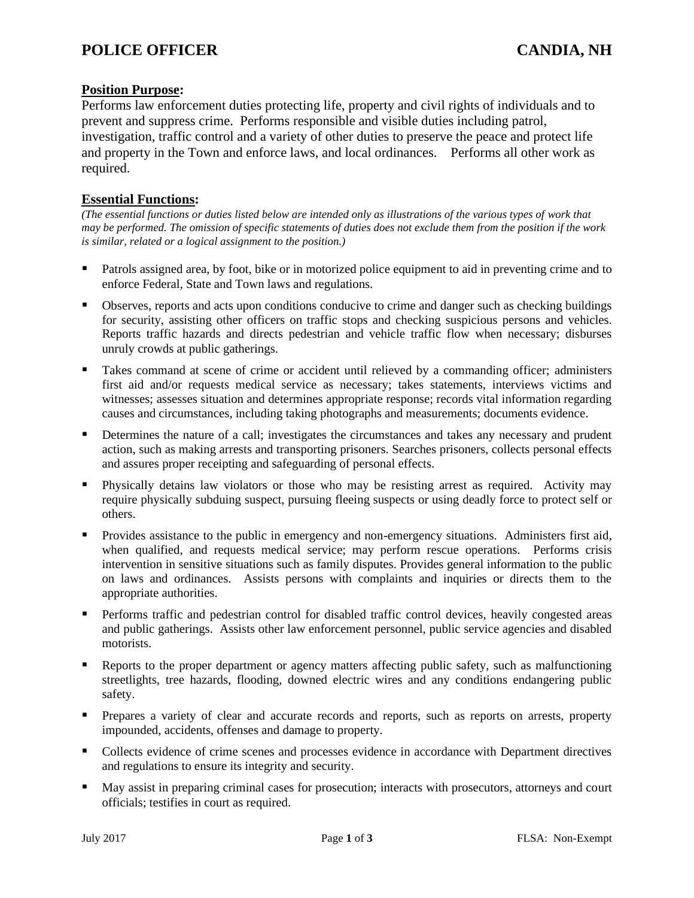### **Position Purpose:**

Performs law enforcement duties protecting life, property and civil rights of individuals and to prevent and suppress crime. Performs responsible and visible duties including patrol, investigation, traffic control and a variety of other duties to preserve the peace and protect life and property in the Town and enforce laws, and local ordinances. Performs all other work as required.

## **Essential Functions:**

*(The essential functions or duties listed below are intended only as illustrations of the various types of work that may be performed. The omission of specific statements of duties does not exclude them from the position if the work is similar, related or a logical assignment to the position.)*

- Patrols assigned area, by foot, bike or in motorized police equipment to aid in preventing crime and to enforce Federal, State and Town laws and regulations.
- Observes, reports and acts upon conditions conducive to crime and danger such as checking buildings for security, assisting other officers on traffic stops and checking suspicious persons and vehicles. Reports traffic hazards and directs pedestrian and vehicle traffic flow when necessary; disburses unruly crowds at public gatherings.
- Takes command at scene of crime or accident until relieved by a commanding officer; administers first aid and/or requests medical service as necessary; takes statements, interviews victims and witnesses; assesses situation and determines appropriate response; records vital information regarding causes and circumstances, including taking photographs and measurements; documents evidence.
- Determines the nature of a call; investigates the circumstances and takes any necessary and prudent action, such as making arrests and transporting prisoners. Searches prisoners, collects personal effects and assures proper receipting and safeguarding of personal effects.
- Physically detains law violators or those who may be resisting arrest as required. Activity may require physically subduing suspect, pursuing fleeing suspects or using deadly force to protect self or others.
- Provides assistance to the public in emergency and non-emergency situations. Administers first aid, when qualified, and requests medical service; may perform rescue operations. Performs crisis intervention in sensitive situations such as family disputes. Provides general information to the public on laws and ordinances. Assists persons with complaints and inquiries or directs them to the appropriate authorities.
- Performs traffic and pedestrian control for disabled traffic control devices, heavily congested areas and public gatherings. Assists other law enforcement personnel, public service agencies and disabled motorists.
- Reports to the proper department or agency matters affecting public safety, such as malfunctioning streetlights, tree hazards, flooding, downed electric wires and any conditions endangering public safety.
- Prepares a variety of clear and accurate records and reports, such as reports on arrests, property impounded, accidents, offenses and damage to property.
- Collects evidence of crime scenes and processes evidence in accordance with Department directives and regulations to ensure its integrity and security.
- May assist in preparing criminal cases for prosecution; interacts with prosecutors, attorneys and court officials; testifies in court as required.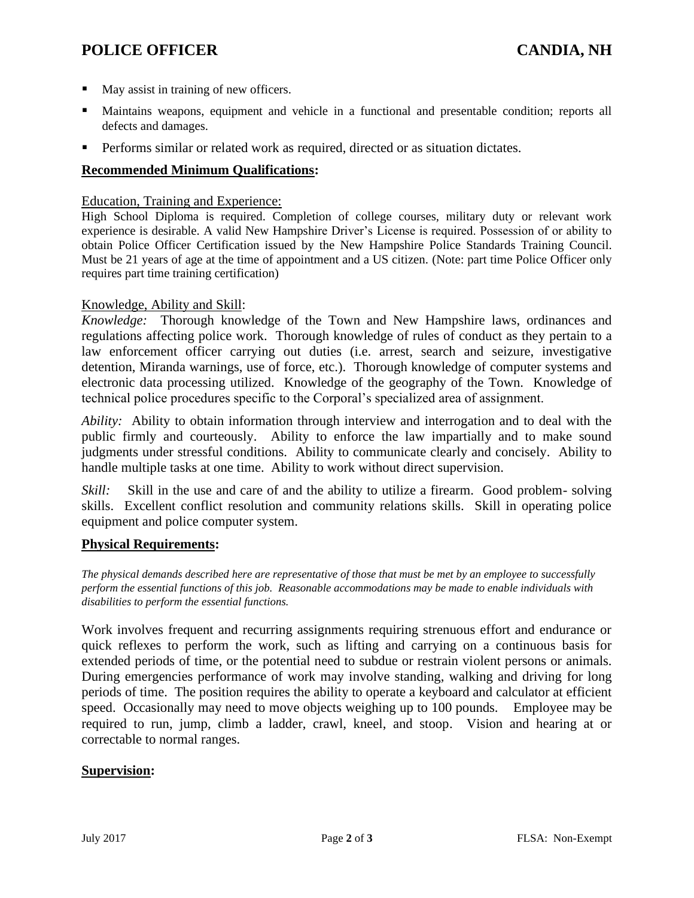# **POLICE OFFICER CANDIA, NH**

- May assist in training of new officers.
- Maintains weapons, equipment and vehicle in a functional and presentable condition; reports all defects and damages.
- Performs similar or related work as required, directed or as situation dictates.

#### **Recommended Minimum Qualifications:**

#### Education, Training and Experience:

High School Diploma is required. Completion of college courses, military duty or relevant work experience is desirable. A valid New Hampshire Driver's License is required. Possession of or ability to obtain Police Officer Certification issued by the New Hampshire Police Standards Training Council. Must be 21 years of age at the time of appointment and a US citizen. (Note: part time Police Officer only requires part time training certification)

#### Knowledge, Ability and Skill:

*Knowledge:* Thorough knowledge of the Town and New Hampshire laws, ordinances and regulations affecting police work. Thorough knowledge of rules of conduct as they pertain to a law enforcement officer carrying out duties (i.e. arrest, search and seizure, investigative detention, Miranda warnings, use of force, etc.). Thorough knowledge of computer systems and electronic data processing utilized. Knowledge of the geography of the Town. Knowledge of technical police procedures specific to the Corporal's specialized area of assignment.

*Ability:* Ability to obtain information through interview and interrogation and to deal with the public firmly and courteously. Ability to enforce the law impartially and to make sound judgments under stressful conditions. Ability to communicate clearly and concisely. Ability to handle multiple tasks at one time. Ability to work without direct supervision.

*Skill:* Skill in the use and care of and the ability to utilize a firearm. Good problem-solving skills. Excellent conflict resolution and community relations skills. Skill in operating police equipment and police computer system.

#### **Physical Requirements:**

*The physical demands described here are representative of those that must be met by an employee to successfully perform the essential functions of this job. Reasonable accommodations may be made to enable individuals with disabilities to perform the essential functions.* 

Work involves frequent and recurring assignments requiring strenuous effort and endurance or quick reflexes to perform the work, such as lifting and carrying on a continuous basis for extended periods of time, or the potential need to subdue or restrain violent persons or animals. During emergencies performance of work may involve standing, walking and driving for long periods of time. The position requires the ability to operate a keyboard and calculator at efficient speed. Occasionally may need to move objects weighing up to 100 pounds. Employee may be required to run, jump, climb a ladder, crawl, kneel, and stoop. Vision and hearing at or correctable to normal ranges.

#### **Supervision:**